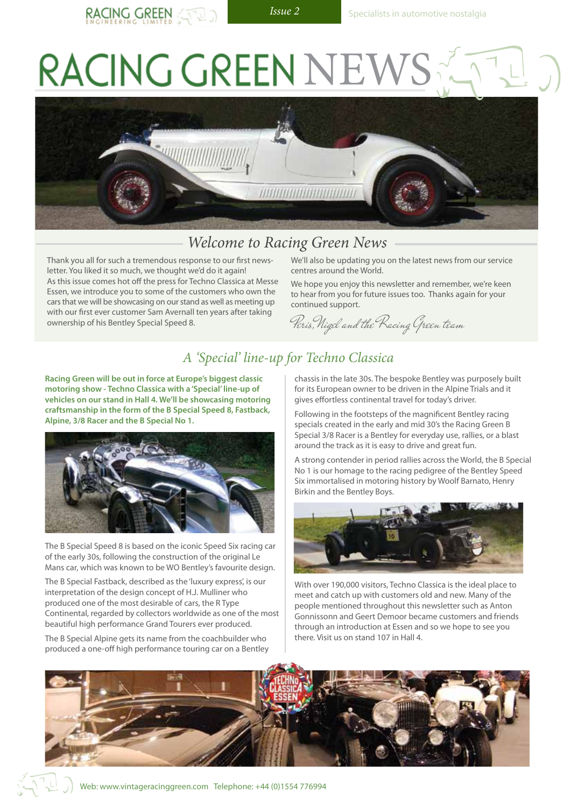RACING GREEN NET



### *Welcome to Racing Green News*

Thank you all for such a tremendous response to our first newsletter. You liked it so much, we thought we'd do it again! As this issue comes hot off the press for Techno Classica at Messe Essen, we introduce you to some of the customers who own the cars that we will be showcasing on our stand as well as meeting up with our first ever customer Sam Avernall ten years after taking ownership of his Bentley Special Speed 8.

We'll also be updating you on the latest news from our service centres around the World.

We hope you enjoy this newsletter and remember, we're keen to hear from you for future issues too. Thanks again for your continued support.

Peris,Nigel and the Racing Green team

# *A 'Special' line-up for Techno Classica*

**Racing Green will be out in force at Europe's biggest classic motoring show - Techno Classica with a 'Special' line-up of vehicles on our stand in Hall 4. We'll be showcasing motoring craftsmanship in the form of the B Special Speed 8, Fastback, Alpine, 3/8 Racer and the B Special No 1.**



The B Special Speed 8 is based on the iconic Speed Six racing car of the early 30s, following the construction of the original Le Mans car, which was known to be WO Bentley's favourite design.

The B Special Fastback, described as the 'luxury express', is our interpretation of the design concept of H.J. Mulliner who produced one of the most desirable of cars, the R Type Continental, regarded by collectors worldwide as one of the most beautiful high performance Grand Tourers ever produced.

The B Special Alpine gets its name from the coachbuilder who produced a one-off high performance touring car on a Bentley

chassis in the late 30s. The bespoke Bentley was purposely built for its European owner to be driven in the Alpine Trials and it gives effortless continental travel for today's driver.

Following in the footsteps of the magnificent Bentley racing specials created in the early and mid 30's the Racing Green B Special 3/8 Racer is a Bentley for everyday use, rallies, or a blast around the track as it is easy to drive and great fun.

A strong contender in period rallies across the World, the B Special No 1 is our homage to the racing pedigree of the Bentley Speed Six immortalised in motoring history by Woolf Barnato, Henry Birkin and the Bentley Boys.



With over 190,000 visitors, Techno Classica is the ideal place to meet and catch up with customers old and new. Many of the people mentioned throughout this newsletter such as Anton Gonnissonn and Geert Demoor became customers and friends through an introduction at Essen and so we hope to see you there. Visit us on stand 107 in Hall 4.

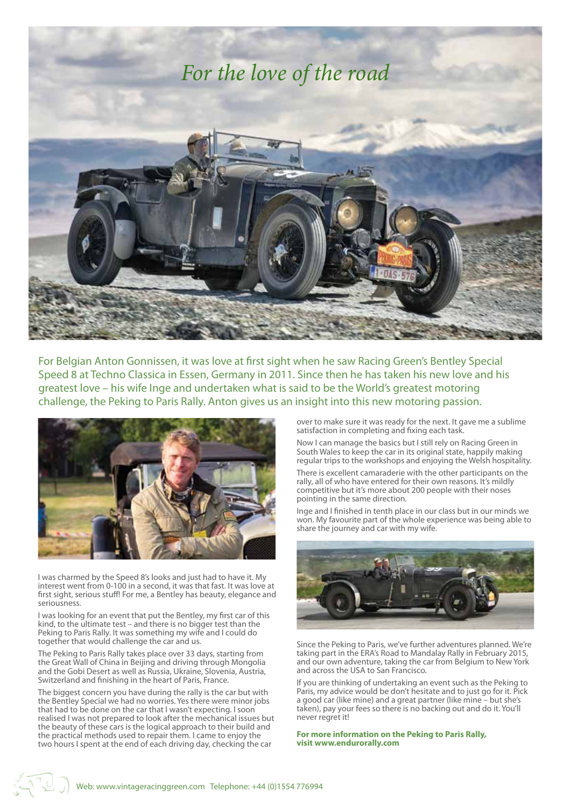

For Belgian Anton Gonnissen, it was love at first sight when he saw Racing Green's Bentley Special Speed 8 at Techno Classica in Essen, Germany in 2011. Since then he has taken his new love and his greatest love – his wife Inge and undertaken what is said to be the World's greatest motoring challenge, the Peking to Paris Rally. Anton gives us an insight into this new motoring passion.



I was charmed by the Speed 8's looks and just had to have it. My interest went from 0-100 in a second, it was that fast. It was love at first sight, serious stuff! For me, a Bentley has beauty, elegance and seriousness.

I was looking for an event that put the Bentley, my first car of this kind, to the ultimate test – and there is no bigger test than the Peking to Paris Rally. It was something my wife and I could do together that would challenge the car and us.

The Peking to Paris Rally takes place over 33 days, starting from the Great Wall of China in Beijing and driving through Mongolia and the Gobi Desert as well as Russia, Ukraine, Slovenia, Austria, Switzerland and finishing in the heart of Paris, France.

The biggest concern you have during the rally is the car but with the Bentley Special we had no worries. Yes there were minor jobs that had to be done on the car that I wasn't expecting. I soon realised I was not prepared to look after the mechanical issues but the beauty of these cars is the logical approach to their build and the practical methods used to repair them. I came to enjoy the two hours I spent at the end of each driving day, checking the car

over to make sure it was ready for the next. It gave me a sublime satisfaction in completing and fixing each task.

Now I can manage the basics but I still rely on Racing Green in South Wales to keep the car in its original state, happily making regular trips to the workshops and enjoying the Welsh hospitality.

There is excellent camaraderie with the other participants on the rally, all of who have entered for their own reasons. It's mildly competitive but it's more about 200 people with their noses pointing in the same direction.

Inge and I finished in tenth place in our class but in our minds we won. My favourite part of the whole experience was being able to share the journey and car with my wife.



Since the Peking to Paris, we've further adventures planned. We're taking part in the ERA's Road to Mandalay Rally in February 2015, and our own adventure, taking the car from Belgium to New York and across the USA to San Francisco.

If you are thinking of undertaking an event such as the Peking to Paris, my advice would be don't hesitate and to just go for it. Pick a good car (like mine) and a great partner (like mine – but she's taken), pay your fees so there is no backing out and do it. You'll never regret it!

**For more information on the Peking to Paris Rally, visit www.endurorally.com**

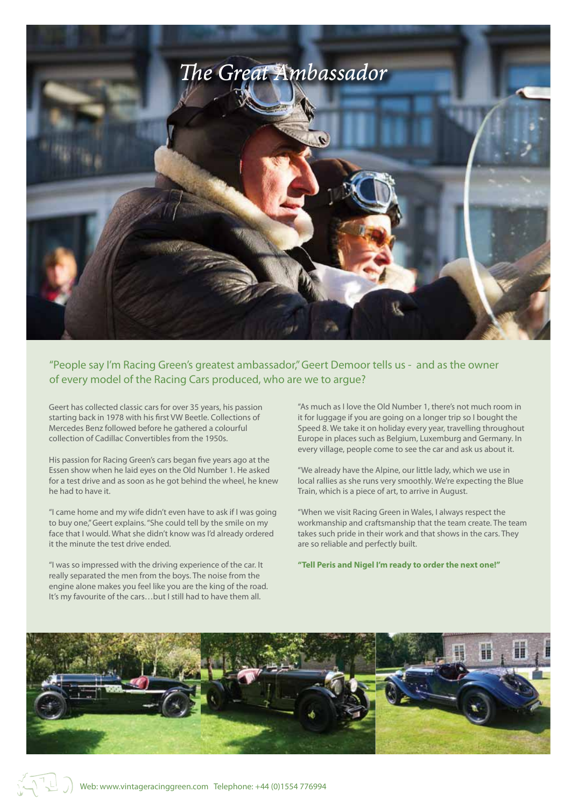

"People say I'm Racing Green's greatest ambassador," Geert Demoor tells us - and as the owner of every model of the Racing Cars produced, who are we to argue?

Geert has collected classic cars for over 35 years, his passion starting back in 1978 with his first VW Beetle. Collections of Mercedes Benz followed before he gathered a colourful collection of Cadillac Convertibles from the 1950s.

His passion for Racing Green's cars began five years ago at the Essen show when he laid eyes on the Old Number 1. He asked for a test drive and as soon as he got behind the wheel, he knew he had to have it.

"I came home and my wife didn't even have to ask if I was going to buy one," Geert explains. "She could tell by the smile on my face that I would. What she didn't know was I'd already ordered it the minute the test drive ended.

"I was so impressed with the driving experience of the car. It really separated the men from the boys. The noise from the engine alone makes you feel like you are the king of the road. It's my favourite of the cars…but I still had to have them all.

"As much as I love the Old Number 1, there's not much room in it for luggage if you are going on a longer trip so I bought the Speed 8. We take it on holiday every year, travelling throughout Europe in places such as Belgium, Luxemburg and Germany. In every village, people come to see the car and ask us about it.

"We already have the Alpine, our little lady, which we use in local rallies as she runs very smoothly. We're expecting the Blue Train, which is a piece of art, to arrive in August.

"When we visit Racing Green in Wales, I always respect the workmanship and craftsmanship that the team create. The team takes such pride in their work and that shows in the cars. They are so reliable and perfectly built.

**"Tell Peris and Nigel I'm ready to order the next one!"**